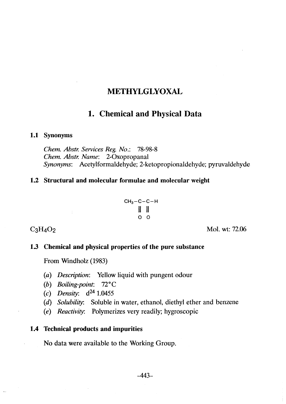# **METHYLGLYOXAL**

# 1. Chemical and Physical Data

### 1.1 Synonyms

Chem. Abstr. Services Reg. No.: 78-98-8 Chem. Ahstr. Name: 2-0xopropanal Synonyms: Acetylformaldehyde; 2-ketopropionaldehyde; pyruvaldehyde

### 1.2 Structural and molecular formulae and molecular weight

$$
CH_3-C-C-H
$$
  

$$
\begin{array}{c|c}\n & || & || & || \\
& | & || & || \\
& O & O & \n\end{array}
$$

 $C_3H_4O_2$  Mol. wt: 72.06

### 1.3 Chemical and physical properties of the pure substance

From Windholz (1983)

 $\mathcal{L}$ 

- (a) Description: Yellow liquid with pungent odour
- (b) Boiling-point: 72°C
- (c) Density:  $d^{24}$  1.0455
- (d) Solubility: Soluble in water, ethanol, diethyl ether and benzene
- (e) Reactivity: Polymerizes very readily; hygroscopic

### 1.4 Technical products and impurities

No data were available to the Working Group.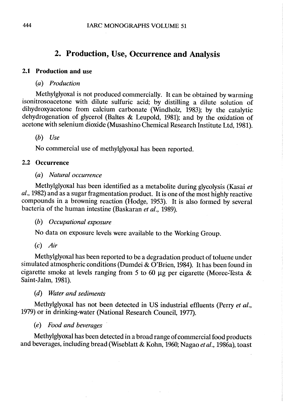# 2. Production, Use, Occurrence and Analysis

## 2.1 Production and use

(a) Production

Methylglyoxal is not produced commercially. It can be obtained by warming isonitrosoacetone with dilute sulfuric acid; by distiling a dilute solution of dihydroxyacetone from calcium carbonate (Windholz, 1983); by the catalytic dehydrogenation of glycerol (Baltes & Leupold, 1981); and by the oxidation of acetone with selenium dioxide (Musashino Chemical Research Institute Ltd, 1981).

(b) Use

No commercial use of methylglyoxal has been reported.

# 2.2 Occurrence

# (a) Natural occurrence

Methylglyoxal has been identified as a metabolite during glycolysis (Kasai et al., 1982) and as a sugar fragmentation product. It is one of the most highly reactive compounds in a browning reaction (Hodge, 1953). It is also formed by several bacteria of the human intestine (Baskaran et al., 1989).

 $(b)$  Occupational exposure

No data on exposure levels were available to the Working Group.

 $\overline{c}$  Air

Methylglyoxal has been reported to be a degradation product of toluene under simulated atmospheric conditions (Dumdei & O'Brien, 1984). It has been found in cigarette smoke at levels ranging from 5 to 60  $\mu$ g per cigarette (Moree-Testa & Saint-Jalm, 1981).

(d) Water and sediments

Methylglyoxal has not been detected in US industrial effluents (Perry et al., 1979) or in drinking-water (National Research Council, 1977).

(e) Food and beverages '

Methylglyoxal has been detected in a broad range of commercial food products and beverages, including bread (Wiseblatt & Kohn, 1960; Nagao et al., 1986a), toast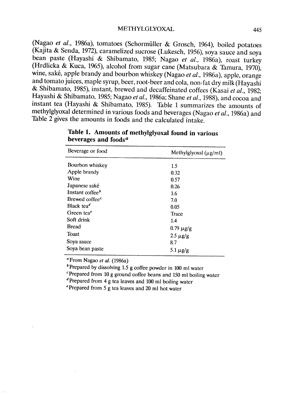(Nagao et al., 1986a), tomatoes (SchormülIer & Grosch, 1964), boiled potatoes (Kajita & Senda, 1972), caramelized sucrose (Lukesch, 1956), soya sauce and soya bean paste (Hayashi & Shibamato, 1985; Nagao et al., 1986a), roast turkey (Hrdlicka & Kuca, 1965), alcohol from sugar cane (Matsubara & Tamura, 1970), wine, saké, apple brandy and bourbon whiskey (Nagao et al., 1986a), apple, orange and tomato juices, maple syrup, beer, root-beer and cola, non-fat dry milk (Hayashi & Shibamato, 1985), instant, brewed and decaffeinated coffees (Kasai et al., 1982; Hayashi & Shibamato, 1985; Nagao et al., 1986a; Shane et al., 1988), and cocoa and instant tea (Hayashi & Shibamato, 1985). Table 1 summarizes the amounts of methylglyoxal determined in various foods and beverages (Nagao et al., 1986a) and Table 2 gives the amounts in foods and the calculated intake.

| Beverage or food                    | Methylglyoxal $(\mu g/ml)$ |  |  |
|-------------------------------------|----------------------------|--|--|
| Bourbon whiskey                     | 1.5                        |  |  |
| Apple brandy                        | 0.32                       |  |  |
| Wine                                | 0.57                       |  |  |
| Japanese saké                       | 0.26                       |  |  |
| Instant coffee <sup>b</sup>         | 1.6                        |  |  |
| Brewed coffee <sup>c</sup>          | 7.0                        |  |  |
| Black tea <sup><math>d</math></sup> | 0.05                       |  |  |
| Green tea $e$                       | Trace                      |  |  |
| Soft drink                          | 1.4                        |  |  |
| Bread                               | $0.79 \mu g/g$             |  |  |
| <b>Toast</b>                        | $2.5 \mu g/g$              |  |  |
| Soya sauce                          | 8.7                        |  |  |
| Soya bean paste                     | 5.1 $\mu$ g/g              |  |  |

Table 1. Amounts of methylglyoxal found in various beverages and foods $a$ 

 $\alpha$ From Nagao et al. (1986a)

 $b$ Prepared by dissolving 1.5 g coffee powder in 100 ml water

 $c$ Prepared from 10 g ground coffee beans and 150 ml boiling water

dPrepared from 4 g tea leaves and 100 ml boilng water

ePrepared from 5 g tea leaves and 20 ml hot water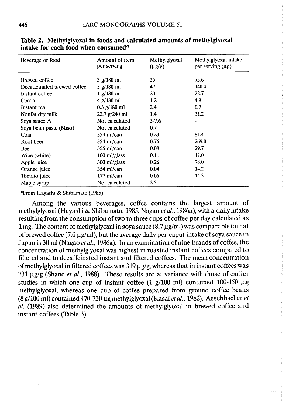| Beverage or food            | Amount of item<br>per serving | Methylglyoxal<br>$(\mu g/g)$ | Methylglyoxal intake<br>per serving $(\mu g)$ |
|-----------------------------|-------------------------------|------------------------------|-----------------------------------------------|
| Brewed coffee               | 3 g/180 ml                    | 25                           | 75.6                                          |
| Decaffeinated brewed coffee | 3 g/180 ml                    | 47                           | 140.4                                         |
| Instant coffee              | 1 g/180 ml                    | 23                           | 22.7                                          |
| Cocoa                       | 4 g/180 ml                    | 1.2                          | 4.9                                           |
| Instant tea                 | $0.3$ g/180 ml                | 2.4                          | 0.7                                           |
| Nonfat dry milk             | $22.7$ g/240 ml               | 1.4                          | 31.2                                          |
| Soya sauce A                | Not calculated                | $3 - 7.6$                    |                                               |
| Soya bean paste (Miso)      | Not calculated                | 0.7                          |                                               |
| Cola                        | $354$ ml/can                  | 0.23                         | 81.4                                          |
| Root beer                   | $354$ ml/can                  | 0.76                         | 269.0                                         |
| Beer                        | $355$ ml/can                  | 0.08                         | 29.7                                          |
| Wine (white)                | 100 ml/glass                  | 0.11                         | 11.0                                          |
| Apple juice                 | 300 ml/glass                  | 0.26                         | 78.0                                          |
| Orange juice                | 354 ml/can                    | 0.04                         | 14.2                                          |
| Tomato juice                | $177$ ml/can                  | 0.06                         | 11.3                                          |
| Maple syrup                 | Not calculated                | 2.5                          |                                               |

Table 2. Methylglyoxal in foods and calculated amounts of methylglyoxal intake for each food when consumed<sup> $a$ </sup>

'Prom Hayashi & Shibamato (1985)

Among the various beverages, coffee contains the largest amount of methylglyoxal (Hayashi & Shibamato, 1985; Nagao et al., 1986a), with a daily intake resulting from the consumption of two to three cups of coffee per day calculated as 1 mg. The content of methylglyoxal in soya sauce  $(8.7 \,\mu$ g/ml) was comparable to that of brewed coffee (7.0  $\mu$ g/ml), but the average daily per-caput intake of soya sauce in Japan is 30 ml (Nagao et al., 1986a). In an examination of nine brands of coffee, the concentration of methylglyoxal was highest in roasted instant coffees compared to filtered and to decaffeinated instant and filtered coffees. The mean concentration of methylglyoxal in filtered coffees was  $319 \mu g/g$ , whereas that in instant coffees was 731  $\mu$ g/g (Shane *et al.*, 1988). These results are at variance with those of earlier studies in which one cup of instant coffee  $(1 \text{ g}/100 \text{ ml})$  contained 100-150  $\mu$ g methylglyoxal, whereas one cup of coffee prepared from ground coffee beans (8 g/100 ml) contained 470-730  $\mu$ g methylglyoxal (Kasai et al., 1982). Aeschbacher et al. (1989) also determined the amounts of methylglyoxal in brewed coffee and instant coffees (Table 3).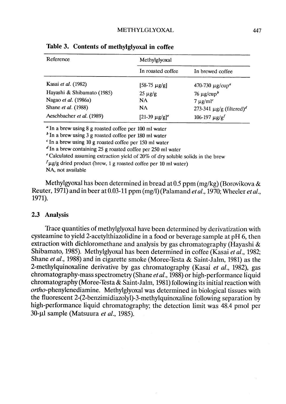| Reference                  | Methylglyoxal         |                                           |  |  |
|----------------------------|-----------------------|-------------------------------------------|--|--|
|                            | In roasted coffee     | In brewed coffee                          |  |  |
| Kasai et al. (1982)        | [58-75 µg/g]          | 470-730 $\mu$ g/cup <sup>a</sup>          |  |  |
| Hayashi & Shibamato (1985) | $25 \mu g/g$          | $76 \mu g / \text{cup}^b$                 |  |  |
| Nagao et al. (1986a)       | NA.                   | $7 \mu g/ml^c$                            |  |  |
| Shane et al. (1988)        | <b>NA</b>             | 273-341 $\mu$ g/g (filtered) <sup>d</sup> |  |  |
| Aeschbacher et al. (1989)  | $[21-39 \mu g/g]^{e}$ | 106-197 $\mu$ g/g <sup>f</sup>            |  |  |

Table 3. Contents of methylglyoxal in coffee

<sup>a</sup> In a brew using 8 g roasted coffee per 100 ml water

 $\delta$  In a brew using 3 g roasted coffee per 180 ml water

 $c$  In a brew using 10 g roasted coffee per 150 ml water

 $d$  In a brew containing 25 g roasted coffee per 250 ml water

e Calculated assuming extraction yield of 20% of dry soluble solids in the brew

 $\int \mu$ g/g dried product (brew, 1 g roasted coffee per 10 ml water)

NA, not available

Methylgyoxal has been determined in bread at 0.5 ppm (mg/kg) (Borovikova  $\&$ Reuter,  $1971$ ) and in beer at 0.03-11 ppm (mg/l) (Palamand *et al.*,  $1970$ ; Wheeler *et al.*, 1971).

### 2.3 Analysis

Trace quantities of methylglyoxal have been determined by derivatization with cysteamine to yield 2-acetylthiazolidine in a food or beverage sample at pH 6, then extraction with dichloromethane and analysis by gas chromatography (Hayashi & Shibamato, 1985). Methylglyoxal has been determined in coffee (Kasai et al., 1982; Shane et al., 1988) and in cigarette smoke (Moree-Testa & Saint-Jalm, 1981) as the 2-methylquinoxaline derivative by gas chromatography (Kasai et al., 1982), gas chromatography-mass spectrometry (Shane et al., 1988) or high-performance liquid chromatography (Moree-Testa & Saint-Jalm, 1981) following its initial reaction with ortho-phenylenediamine. Methylglyoxal was determined in biological tissues with the fluorescent 2-(2-benzimidiazolyl)-3-methylquinoxaline following separation by high-performance liquid chromatography; the detection limit was 48.4 pmol per 30-µl sample (Matsuura et al., 1985).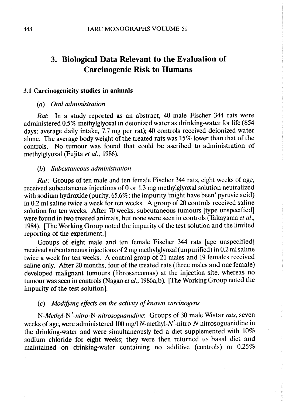# 3. Biological Data Relevant to the Evaluation of **Carcinogenic Risk to Humans**

#### 3.1 Carcinogenicity studies in animaIs

### (a) Oral administration

Rat: In a study reported as an abstract, 40 male Fischer 344 rats were administered 0.5% methylglyoxal in deionized water as drinking-water for life (854 days; average daily intake, 7.7 mg per rat); 40 controls received deionized water alone. The average body weight of the treated rats was 15% lower than that of the controls. No tumour was found that could be ascribed to administration of methylglyoxal (Fujita et al., 1986).

#### (b) Subcutaneous administration

Rat: Groups of ten male and ten female Fischer 344 rats, eight weeks of age, received subcutaneous injections of 0 or 1.3 mg methylglyoxal solution neutralized with sodium hydroxide (purity, 65.6%; the impurity 'might have been' pyruvic acid) in  $0.2$  ml saline twice a week for ten weeks. A group of  $20$  controls received saline solution for ten weeks. After 70 weeks, subcutaneous tumours (type unspecified) were found in two treated animals, but none were seen in controls (Takayama et al., 1984). (The Working Group noted the impurity of the test solution and the limited reporting of the experiment.)

Groups of eight male and ten female Fischer 344 rats (age unspecified) received subcutaneous injections of 2 mg methylglyoxal (unpurified) in 0.2 ml saline twice a week for ten weeks. A control group of 21 males and 19 females received saline only. After 20 months, four of the treated rats (three males and one female) developed malignant tumours (fibrosarcomas) at the injection site, whereas no tumour was seen in controls (Nagao et al., 1986a,b). [The Working Group noted the impurity of the test solution).

#### (c) Modifying effects on the activity of known carcinogens

N-Methyl-N'-nitro-N-nitrosoguanidine: Groups of 30 male Wistar rats, seven weeks of age, were administered 100 mg/l N-methyl-N' -nitro-N-nitrosoguanidine in the drinking-water and were simultaneously fed a diet supplemented with 10% sodium chloride for eight weeks; they were then returned to basal diet and maintained on drinking-water containing no additive (controls) or 0.25%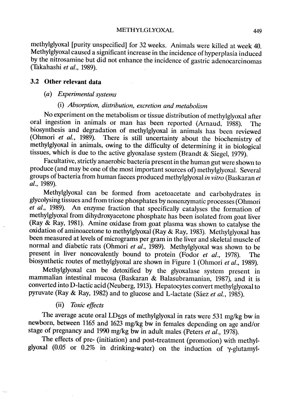methylglyoxal (purity unspecified) for 32 weeks. AnimaIs were kiled at week 40. Methylglyoxal caused a significant increase in the incidence of hyperplasia induced by the nitrosamine but did not enhance the incidence of gastric adenocarcinomas (Takahashi et al., 1989).

### 3.2 Other relevant data

#### (a) Experimental systems

# (i) Absorption, distribution, excretion and metabolism

No experiment on the metabolism or tissue distribution of methylglyoxal after oral ingestion in animals or man has been reported (Arnaud, 1988). The biosynthesis and degradation of methylglyoxal in animals has been reviewed (Ohmori et al., 1989). There is still uncertainty about the biochemistry of methylglyoxal in animaIs, owing to the difficulty of determining it in biological tissues, which is due to the active glyoxalase system (Brandt & Siegel, 1979).

Facultative, strictly anaerobic bacteria present in the human gut were shown ta produce (and may be one of the most important sources of) methylglyoxaL. Several groups of bacteria from human faeces produced methylglyoxal in vitro (Baskaran et al., 1989).

Methylglyoxal can be formed from acetoacetate and carbohydrates in glycolysing tissues and from triose phosphates by nonenzymatic processes (Ohmori et aL., 1989). An enzyme fraction that specifically catalyses the formation of methylglyoxal from dihydroxyacetone phosphate has been isolated from goat liver (Ray  $\&$  Ray, 1981). Amine oxidase from goat plasma was shown to catalyse the oxidation of aminoacetone to methylglyoxal (Ray & Ray, 1983). Methylglyoxal has been measured at levels of micrograms per gram in the liver and skeletal muscle of normal and diabetic rats (Ohmori et  $a\overline{l}$ , 1989). Methylglyoxal was shown to be present in liver noncovalently bound to protein (Fodor et al., 1978). The biosynthetic routes of methylglyoxal are shown in Figure 1 (Ohmori et al., 1989).

Methylglyoxal can be detoxified by the glyoxalase system present in mammalian intestinal mucosa (Baskaran & Balasubramanian, 1987), and it is converted into D-Iactic acid (Neuberg, 1913). Hepatocytes convert methylglyoxal ta pyruvate (Ray & Ray, 1982) and to glucose and L-lactate (Sáez et al., 1985).

### (ii) Toxic effects

The average acute oral LD50s of methylglyoxal in rats were 531 mg/kg bw in newborn, between 1165 and 1623 mg/kg bw in females depending on age and/or stage of pregnancy and 1990 mg/kg bw in adult males (Peters et  $\tilde{a}l$ ., 1978).

The effects of pre- (initiation) and post-treatment (promotion) with methylglyoxal (0.05 or  $0.2\%$  in drinking-water) on the induction of  $\gamma$ -glutamyl-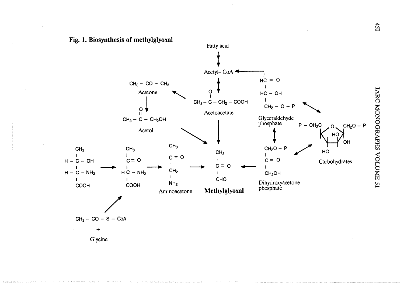a: tr VI ..





Glycine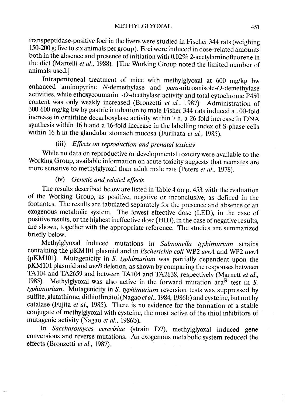transpeptidase-positive foci in the livers were studied in Fischer 344 rats (weighing 150-200 g; five to six animals per group). Foci were induced in dose-related amounts both in the absence and presence of initiation with 0.02% 2-acetylaminofluorene in the diet (Martelli et al., 1988). [The Working Group noted the limited number of animaIs used.)

Intraperitoneal treatment of mice with methylglyoxal at 600 mg/kg bw enhanced aminopyrine N-demethylase and  $para$ -nitroanisole-O-demethylase activities, while ethoxycoumarin-O-deethylase activity and total cytochrome P450 content was only weakly increased (Bronzetti et al., 1987). Administration of 300-600 mg/kg bw by gastric intubation to male Fisher 344 rats induced a 100-fold increase in ornithine decarboxylase activity within 7 h, a 26-fold increase in DNA synthesis within 16 h and a 16-fold increase in the labelling index of S-phase cells within 16 h in the glandular stomach mucosa (Furihata et al., 1985).

### (iii) Effects on reproduction and prenatal toxicity

While no data on reproductive or developmental toxicity were available to the Working Group, available information on acute toxicity suggests that neonates are more sensitive to methylglyoxal than adult male rats (Peters et al., 1978).

# (iv) Genetic and related effects

The results described below are listed in Table 4 on p. 453, with the evaluation of the Working Group, as positive, negative or inconclusive, as defined in the footnotes. The results are tabulated separately for the presence and absence of an exogenous metabolic system. The lowest effective dose (LED), in the case of positive results, or the highest ineffective dose (HID), in the case of negative results, are shown, together with the appropriate reference. The studies are summarized briefly below.

Methylglyoxal induced mutations in Salmonella typhimurium strains containing the pKM101 plasmid and in Escherichia coli WP2 uvrA and WP2 uvrA (pKM101). Mutagenicity in S. typhimurium was partially dependent upon the  $pKM101$  plasmid and  $uvB$  deletion, as shown by comparing the responses between TA104 and TA2659 and between TA104 and TA2638, respectively (Marnett et al., 1985). Methylglyoxal was also active in the forward mutation  $\arctan R$  test in S. typhimurium. Mutagenicity in S. typhimurium reversion tests was suppressed by sulfite, glutathione, dithiothreitol (Nagao et al., 1984, 1986b) and cysteine, but not by catalase (Fujita et al., 1985). There is no evidence for the formation of a stable conjugate of methylglyoxal with cysteine, the most active of the thiol inhibitors of mutagenic activity (Nagao et al., 1986b).

ln Saccharomyces cerevisiae (strain D7), methylglyoxal induced gene conversions and reverse mutations. An exogenous metabolic system reduced the effects (Bronzetti et al., 1987).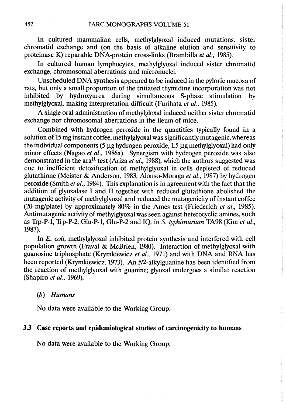In cultured mammalian cells, methylglyoxal induced mutations, sister chromatid exchange and (on the basis of alkaline elution and sensitivity to proteinase K) reparable DNA-protein cross-links (Brambila et al., 1985).

ln cultured human lymphocytes, methylglyoxal induced sister chromatid exchange, chromosomal aberrations and micronuclei.

Unscheduled DNA synthesis appeared to be induced in the pyloric mucosa of rats, but only a small proportion of the tritiated thymidine incorporation was not inhibited by hydroxyurea during simultaneous S-phase stimulation by methylglyoxal, making interpretation difficult (Furihata et al., 1985).

A single oral administration of methylgloxal induced neither sister chromatid exchange nor chromosomal aberrations in the ileum of mice.

Combined with hydrogen peroxide in the quantities typically found in a solution of 15 mg instant coffee, methylglyoxal was significantly mutagenic, whereas the individual components  $(5 \mu g)$  hydrogen peroxide, 1.5  $\mu g$  methylglyoxal) had only minor effects (Nagao et al., 1986a). Synergism with hydrogen peroxide was also demonstrated in the ara<sup>R</sup> test (Ariza et al., 1988), which the authors suggested was due to inefficient detoxification of methylglyoxal in cells depleted of reduced glutathione (Meister & Anderson, 1983; Alonso-Moraga et al., 1987) by hydrogen peroxide (Smith et al., 1984). This explanation is in agreement with the fact that the addition of glyoxalase 1 and II together with reduced glutathione abolished the mutagenic activity of methylglyoxal and reduced the mutagenicity of instant coffee (20 mg/plate) by approximately  $80\%$  in the Ames test (Friederich *et al.*, 1985). Antimutagenic activity of methylglyoxal was seen against heterocyclic amines, such as Trp-P-l, Trp-P-2, Glu-P-l, Glu-P-2 and IQ, in S. tyhimurium TA98 (Kim et al., 1987).

ln E. coli, methylglyoxal inhibited protein synthesis and interfered with cell population growth (Fraval & McBrien, 1980). Interaction of methylglyoxal with guanosine triphosphate (Krymkiewicz et al., 1971) and with DNA and RNA has been reported (Krymkiewicz, 1973). An N<sup>2</sup>-alkylguanine has been identified from the reaction of methylglyoxal with guanine; glyoxal undergoes a similar reaction (Shapiro et aL., 1969).

### (b) Humans

No data were available to the Working Group.

### 3.3 Case reports and epidemiological studies of carcinogenicity to humans

No data were available to the Working Group.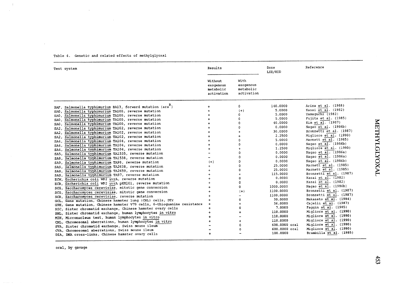| Test system                                                                                          | Results                                         |                                              | Dose<br>LED/HID | Reference               |
|------------------------------------------------------------------------------------------------------|-------------------------------------------------|----------------------------------------------|-----------------|-------------------------|
|                                                                                                      | Without<br>exogenous<br>metabolic<br>activation | With<br>exogenous<br>metabolic<br>activation |                 |                         |
| Salmonella typhimurium BA13, forward mutation (ara <sup>n</sup> )                                    | $\ddot{}$                                       | $\Omega$                                     | 140,0000        | Ariza et al. (1988)     |
| SAF.<br>Salmonella typhimurium TA100, reverse mutation                                               |                                                 | $(+)$                                        | 5.0000          | Kasai et al. (1982)     |
| SAO.<br>Salmonella typhimurium TA100, reverse mutation                                               |                                                 | $\Omega$                                     | 5.0000          | Yamaquchi (1982)        |
| SAO.<br>Salmonella typhimurium TA100, reverse mutation                                               |                                                 | $\Omega$                                     | 5.0000          | Fujita et al. (1985)    |
| SAO.<br>Salmonella typhimurium TA100, reverse mutation                                               |                                                 | $\Omega$                                     | 40.0000         | Kim et al. (1987)       |
| SAO.<br>Salmonella typhimurium TA102, reverse mutation<br>SA2.                                       |                                                 | $\Omega$                                     | 0.0000          | Nagao et al. (1986b)    |
| Salmonella typhimurium TA102, reverse mutation<br>SA2.                                               |                                                 | $\ddotmark$                                  | 30.0000         | Bronzetti et al. (1987) |
| Salmonella typhimurium TA102, reverse mutation<br>$S_A2$ .                                           |                                                 | $\div$                                       | 2.2500          | Migliore et al. (1990)  |
| Salmonella typhimurium TA104, reverse mutation                                                       |                                                 | 0                                            | 5.0000          | Marnett et al. (1985)   |
| SA4.<br>Salmonella typhimurium TA104, reverse mutation                                               |                                                 | 0                                            | 0.0000          | Nagao et al. (1986b)    |
| SA4.<br>Salmonella typhimurium TA104, reverse mutation<br>SA4.                                       |                                                 | $\ddotmark$                                  | 1.2500          | Migliore et al. (1990)  |
| SA5. Salmonella typhimurium TA1535, reverse mutation                                                 |                                                 | Ω                                            | 0.0000          | Nagao et al. (1986a)    |
| Salmonella typhimurium TA1538, reverse mutation                                                      |                                                 | $\Omega$                                     | 0.0000          | Nagao et al. (1986a)    |
| SA8.<br>Salmonella typhimurium TA98, reverse mutation                                                | $(+)$                                           | $\Omega$                                     | 0.0000          | Nagao et al. (1986b)    |
| SA9.<br>Salmonella typhimurium TA2638, reverse mutation                                              | $+$                                             | 0                                            | 25.0000         | Marnett et al. (1985)   |
| SAS.<br>Salmonella typhimurium TA2659, reverse mutation                                              | $\ddotmark$                                     | Ω                                            | 25.0000         | Marnett et al. (1985)   |
| SAS.<br>SAS, Salmonella typhimurium TA97, reverse mutation                                           |                                                 |                                              | 115.0000        | Bronzetti et al. (1987) |
| ECW. Escherichia coli WP2 uvrA, reverse mutation                                                     | $+$                                             | 0                                            | 0.0000          | Kasai et al. (1982)     |
| Escherichia coli WP2 uvrA pKM101, reverse mutation<br>ECR.                                           | $\ddot{}$                                       | 0                                            | 0.0000          | Kasai et al. (1982)     |
| Saccharomyces cerevisiae, mitotic gene conversion                                                    | $\ddot{}$                                       | 0                                            | 1000.0000       | Nagao et al. (1986b)    |
| SCG.<br>Saccharomyces cerevisiae, mitotic gene conversion                                            | $\ddotmark$                                     | $(+)$                                        | 1100.0000       | Bronzetti et al. (1987) |
| SCG.<br>Saccharomyces cerevisiae, reverse mutation                                                   | +                                               | $\overline{\phantom{0}}$                     | 1100.0000       | Bronzetti et al. (1987) |
| SCR.<br>Gene mutation, Chinese hamster lung (CHL) cells, DTr                                         | 4                                               | $\Omega$                                     | 30.0000         | Nakasato et al. (1984)  |
| GCL.<br>G9H, Gene mutation, Chinese hamster V79 cells, 6-thioguanine resistance                      | ÷                                               |                                              | 36.0000         | Cajelli et al. (1987)   |
| SIC, Sister chromatid exchange, Chinese hamster ovary cells                                          | $\ddot{}$                                       |                                              | 7.0000          | Faggin et al. (1985)    |
| SHL, Sister chromatid exchange, human lymphocytes in vitro                                           | ÷                                               |                                              | 110.0000        | Migliore et al. (1990)  |
| MIH, Micronucleus test, human lymphocytes in vitro                                                   |                                                 |                                              | 110.0000        | Migliore et al. (1990)  |
| CHL, Chromosomal aberrations, human lymphocytes in vitro                                             | $\ddot{}$                                       |                                              | 110.0000        | Migliore et al. (1990)  |
| SVA, Sister chromatid exchange, Swiss mouse ileum                                                    |                                                 | 0                                            | 600.0000 oral   | Migliore et al. (1990)  |
|                                                                                                      |                                                 | 0                                            | 600.0000 oral   | Migliore et al. (1990)  |
| CVA, Chromosomal aberrations, Swiss mouse ileum<br>DIA, DNA cross-links, Chinese hamster ovary cells | $\ddotmark$                                     |                                              | 100.0000        | Brambilla et al. (1985) |
|                                                                                                      |                                                 |                                              |                 |                         |

#### Table 4. Genetic and related effects of methylglyoxal

 $\pm$ 

oral, by gavage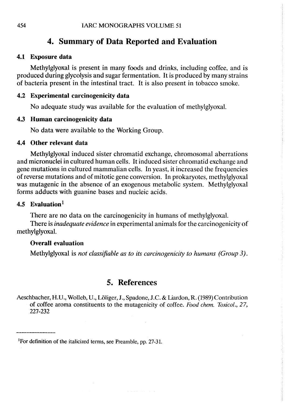# 4. Summary of Data Reported and Evaluation

#### 4.1 Exposure data

Methylglyoxal is present in many foods and drinks, including coffee, and is produced during glycolysis and sugar fermentation. It is produced by many strains of bacteria present in the intestinal tract. It is also present in tobacco smoke.

### 4.2 Experimental carcinogenicity data

No adequate study was available for the evaluation of methylglyoxal.

### 4.3 Human carcinogenicity data

No data were available to the Working Group.

#### 4.4 Other relevant data

Methylglyoxal induced sister chromatid exchange, chromosomal aberrations and micronuclei in cultured human cells. It induced sister chromatid exchange and gene mutations in cultured mammalian cells. ln yeast, it increased the frequencies of reverse mutations and of mitotic gene conversion. In prokaryotes, methylglyoxal was mutagenic in the absence of an exogenous metabolic system. Methylglyoxal forms adducts with guanine bases and nucleic acids.

### 4.5 Evaluation $<sup>1</sup>$ </sup>

There are no data on the carcinogenicity in humans of methylglyoxaL.

There is *inadequate evidence* in experimental animals for the carcinogenicity of methylglyoxal.

#### Overall evaluation

Methylglyoxal is not classifiable as to its carcinogenicity to humans (Group 3).

## 5. References

Aeschbacher, H.U., Wolleb, U., Löliger, J., Spadone, J.C. & Liardon, R. (1989) Contribution of coffee aroma constituents to the mutagenicity of coffee. Food chem. Toxicol., 27, 227-232

 $\alpha$  , and a set of  $\alpha$  ,  $\alpha$  ,  $\beta$  ,  $\alpha$  ,  $\beta$ 

<sup>&</sup>lt;sup>1</sup>For definition of the italicized terms, see Preamble, pp. 27-31.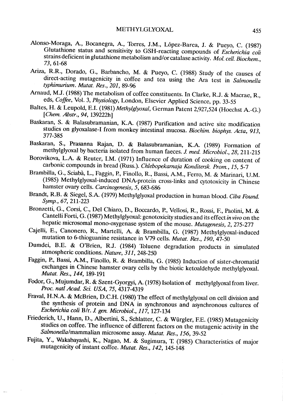- AIonso-Moraga, A., Bocnegra, A., Torres, J.M., López-Barea, J. & Pueyo, C. (1987) Glutathione status and sensitivity to GSH-reacting compounds of Escherichia coli strains deficient in glutathione metabolism and/or catalase activity. Mol. cell. Biochem., 73, 61-68
- Ariza, R.R., Dorado, G., Barbancho, M. & Pueyo, C. (1988) Study of the causes of direct-acting mutagenicity in coffee and tea using the Ara test in Salmonella typhimurium. Mutat. Res., 201, 89-96
- Araud, M.J. (1988) The metabolism of coffee constituents. ln Clarke, R.J. & Macrae, R., eds, Coffee, Vol. 3, Physiology, London, Elsevier Applied Science, pp. 33-55
- Baltes, H. & Leupold, E.L (1981) Methylglyoxal, German Patent 2,927,524 (Hoechst A.-G.) (Chem. Abstr., 94, 139222h)
- Baskaran, S. & Balasubramanian, K.A. (1987) Purification and active site modification studies on glyoxalase-I from monkey intestinal mucosa. Biochim. biophys. Acta, 913, 377-385
- Baskaran, S., Prasanna Rajan, D. & Balasubramanian, K.A. (1989) Formation of methylglyoxal by bacteria isolated from human faeces. J. med. Microbiol., 28, 211-215
- Borovikova, L.A. & Reuter, LM. (1971) Influence of duration of cooking on content of carbonic compounds in bread (Russ.). Chlebopekamaja Konditersk. Prom., 15, 5-7
- Brambila, G., Sciabà, L., Faggin, P., Finollo, R., Bassi, A.M., Ferro, M. & Marinari, D.M. (1985) Methylglyoxal-induced DNA-protein cross-links and cytotoxicity in Chinese hamster ovary cells. Carcinogenesis, 5, 683-686
- Brandt, R.B. & Siegel, S.A. (1979) Methylglyoxal production in human blood. Ciba Found. Symp., 67, 211-223
- Bronzetti, G., Corsi, C., Del Chiaro, D., Boccardo, P., Vellosi, R., Rossi, F., Paolini, M. & Cantelli Forti, G. (1987) Methylglyoxal: genotoxicity studies and its effect in vivo on the hepatic microsomal mono-oxygenase system of the mouse. Mutagenesis, 2,275-277
- Cajell, E., Canonero, R., Martell, A. & Brambila, G. (1987) Methylglyoxal-induced mutation to 6-thioguanine resistance in V79 cells. Mutat. Res., 190, 47-50
- Dumdei, B.E. & O'Brien, R.J. (1984) Toluene degradation products in simulated atmospheric conditions. Nature, 311, 248-250
- Faggin, P., Bassi, A.M., Finollo, R. & Brambila, G. (1985) Induction of sister-chromatid exchanges in Chinese hamster ovary cells by the biotic ketoaldehyde methylglyoxal. Mutat. Res., 144, 189-191
- Fodor, G., Mujumdar, R. & Szent-Gyorgy, A. (1978) Isolation of methylglyoxal from liver. Proc. natl Acad. Sci. USA, 75, 4317-4319
- Fraval, H.N.A. & McBrien, D.C.H. (1980) The effect of methylglyoxal on cell division and the sythesis of protein and DNA in synchronous and asynchronous cultures of Escherichia coli B/r. J. gen. Microbiol., 117, 127-134
- Friederich, U., Hann, D., AIbertini, S., Schlatter, C. & Würgler, F.E. (1985) Mutagenicity studies on coffee. The influence of different factors on the mutagenic activity in the Salmonella/mammalian microsome assay. Mutat. Res., 156, 39-52
- Fujita, Y., Wakabayashi, K., Nagao, M. & Sugimura, 1: (1985) Characteristics of major mutagenicity of instant coffee. Mutat. Res., 142, 145-148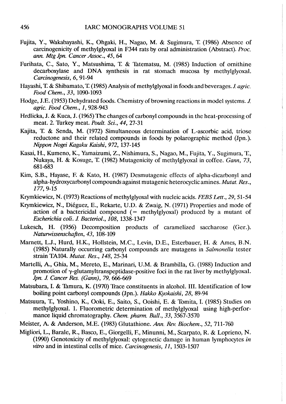- Fujita, Y., Wakabayashi, K., Ohgaki, H., Nagao, M. & Sugimura, 1: (1986) Absence of carcinogenicity of methylglyoxal in F344 rats by oral administration (Abstract). Proc. an. Mtg Jpn. Cancer Assoc., 45, 64
- Furihata, C., Sato, Y., Matsushima, T. & Tatematsu, M. (1985) Induction of ornithine decarboxylase and DNA synthesis in rat stomach mucosa by methylglyoxal. Careinogenesis, 6, 91-94
- Hayashi, T. & Shibamato, T. (1985) Analysis of methylglyoxal in foods and beverages. J. agric. Food Chem., 33, 1090-1093
- Hodge, J.E. (1953) Dehydrated foods. Chemistry of browning reactions in model systems. J. agric. Food Chem., 1, 928-943
- Hrdlicka, J. & Kuca, J. (1965) The changes of carbonyl compounds in the heat-processing of meat. 2. Turkey meat. *Poult. Sci.*, 44, 27-31
- Kajita, T. & Senda, M. (1972) Simultaneous determination of L-ascorbic acid, triose reductone and their related compounds in foods by polarographic method (Jpn.). Nippon Nogei Kagaku Kaishi, 972, 137-145
- Kasai, H., Kumeno, K., Yamaizumi, Z., Nishimura, S., Nagao, M., Fujita, Y., Sugimura, L, Nukaya, H. & Kosuge, T. (1982) Mutagenicity of methylglyoxal in coffee. Gann, 73, 681-683
- Kim, S.B., Hayase, F. & Kato, H. (1987) Desmutagenic effects of alpha-dicarbonyl and alpha-hydroxycarbonyl compounds against mutagenic heterocyclic amines. Mutat. Res., 177, 9-15
- Krymkiewicz, N. (1973) Reactions of methylglyoxal with nucleic acids. FEBS Lett., 29, 51-54
- Krymkiewicz, N., Diéguez, E., Rekarte, U.D. & Zwaig, N. (1971) Properties and mode of action of a bactericidal compound  $($  = methylglyoxal) produced by a mutant of Escherichia coli. J. Bacteriol., 108, 1338-1347
- Lukesch, H. (1956) Decomposition products of caramelized saccharose (Ger.). Naturwissenschaften, 43, 108-109
- Mamett, L.J., Hurd, H.K., Hollstein, M.C., Levin, D.E., Esterbauer, H. & Ames, B.N. (1985) Naturally occurring carbonyl compounds are mutagens in Salmonella tester strain TAI04. Mutat. Res., 148,25-34
- Martell, A., Ghia, M., Mereto, E., Marinari, U.M. & Brambila, G. (1988) Induction and promotion of  $\gamma$ -glutamyltranspeptidase-positive foci in the rat liver by methylglyoxal. Jpn. J. Cancer Res. (Gann), 79, 666-669
- Matsubara, I. & Tamura, K. (1970) Trace constituents in alcohol. III. Identification of low boiling point carbonyl compounds (Jpn.). Hakko Kyokaishi, 28, 89-94
- Matsuura, T., Yoshino, K., Ooki, E., Saito, S., Ooishi, E. & Tomita, I. (1985) Studies on methylglyoxal. 1. Fluorometric determination of methylglyoxal using high-performance liquid chromatography. Chem. pharm. Bull., 33, 3567-3570
- Meister, A. & Anderson, M.E. (1983) Glutathione. Ann. Rev. Biochem., 52, 711-760
- Migliori, L., Barale, R., Basco, E., Giorgell, F., Minunni, M., Scarpato, R. & Loprieno, N. (1990) Genotoxicity of methylglyoxal: cytogenetic damage in human lymphocytes in vitro and in intestinal cells of mice. Carcinogenesis, 11, 1503-1507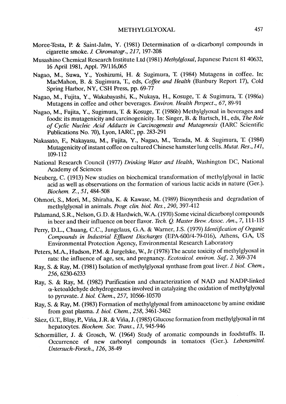- Moree-Testa, P. & Saint-Jalm, Y. (1981) Determination of  $\alpha$ -dicarbonyl compounds in cigarette smoke. J. Chromatogr., 217, 197-208
- Musashino Chemical Research Institute Ltd (1981) Methylgloxal, Japanese Patent 81 40632, 16 Apri 1981, AppL. 79/116,065
- Nagao, M., Suwa, Y., Yoshizumi, H. & Sugimura, T. (1984) Mutagens in coffee. In: MacMahon, B. & Sugimura, T., eds, Coffee and Health (Banbury Report 17), Cold Spring Harbor, NY, CSH Press, pp. 69-77
- Nagao, M., Fujita, Y., Wakabayashi, K., Nukaya, H., Kosuge, T. & Sugimura, T. (1986a) Mutagens in coffee and other beverages. Environ. Health Perspect., 67, 89-91
- Nagao, M., Fujita, Y., Sugimura, T. & Kosuge, T. (1986b) Methylglyoxal in beverages and foods: its mutagenicity and carcinogenicity. In: Singer, B. & Bartsch, H., eds, The Role of Cyclic Nucleic Acid Adducts in Carcinogenesis and Mutagenesis (IARC Scientifc Publications No. 70), Lyon, IARC, pp. 283-291
- Nakasato, F., Nakayasu, M., Fujita, Y., Nagao, M., Terada, M. & Sugimura, L (1984) Mutagenicity of instant coffee on cultured Chinese hamster lung cells. Mutat. Res., 141, 109-112
- National Research Council (1977) Drinking Water and Health, Washington DC, National Academy of Sciences
- Neuberg, C. (1913) New studies on biochemical transformation of methylglyoxal in lactic acid as well as observations on the formation of various lactic acids in nature (Ger.). Biochem. z., 51, 484-508
- Ohmori, S., Mori, M., Shiraha, K. & Kawase, M. (1989) Biosynthesis and degradation of methylglyoxal in animaIs. Progr clin. biol. Res., 290, 397-412
- Palamand, S.R., Nelson, G.D. & Hardwich, W.A. (1970) Sorne vicinal dicarbonyl compounds in beer and their influence on beer flavor. Tech. Q. Master Brew. Assoc. Am., 7, 111-115
- Perry, D.L., Chuang, C.C., Jungclaus, G.A. & Warner, J.S. (1979) Identification of Organic Compounds in Industrial Effuent Discharges (EPA-600/4-79-016), Athens, GA, US Environmental Protection Agency, Environmental Research Laboratory
- Peters, M.A., Hudson, P.M. & Jurgelske, W., Jr (1978) The acute toxicity of methylglyoxal in rats: the influence of age, sex, and pregnancy. *Ecotoxicol. environ. Saf.*, 2, 369-374
- Ray, S. & Ray, M. (1981) Isolation of methylglyoxal synthase from goat liver. J. biol. Chem., 256, 6230-6233
- Ray, S. & Ray, M. (1982) Purification and characterization of NAD and NADP-linked  $\alpha$ -ketoaldehyde dehydrogenases involved in catalyzing the oxidation of methylglyoxal to pyruvate. J. biol. Chem., 257, 10566-10570
- Ray, S. & Ray, M. (1983) Formation of methylglyoxal from aminoacetone by amine oxidase from goat plasma. 1 biol. Chem., 258, 3461-3462
- Sáez, G.T., Blay, P., Viña, J.R. & Viña, J. (1985) Glucose formation from methylglyoxal in rat hepatocytes. Biochem. Soc. Trans., 13, 945-946
- Schormüller, J. & Grosch, W. (1964) Study of aromatic compounds in foodstuffs. II. Occurrence of new carbonyl compounds in tomatoes (Ger.). Lebensmittel. Untersuch-Forsch., 126, 38-49